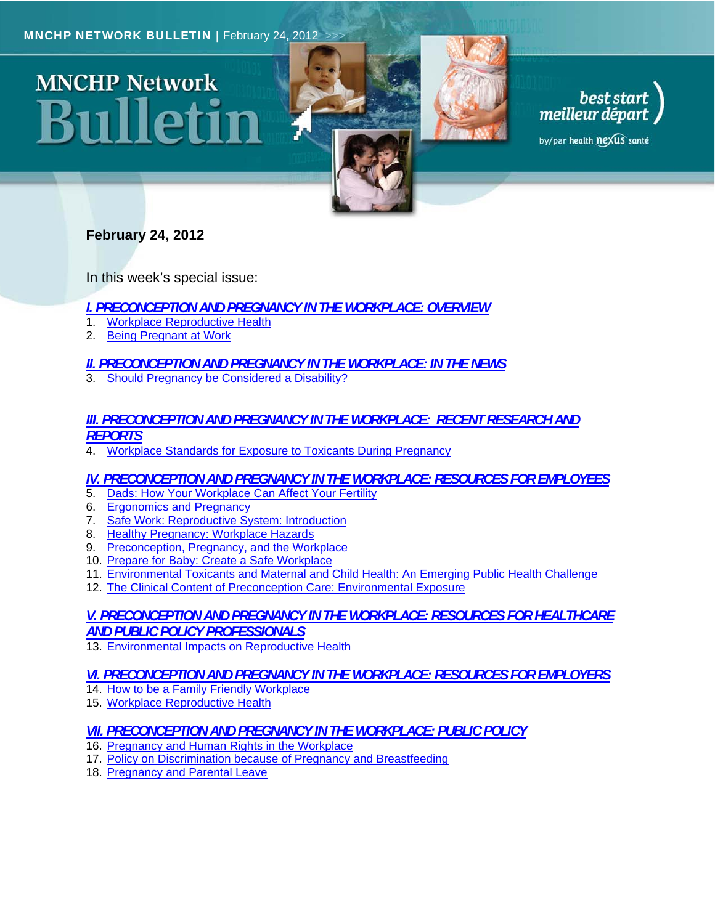# **MNCHP Network** 311 | | et



by/par health nexus santé

# **February 24, 2012**

In this week's special issue:

- *I. PRECONCEPTION AND PREGNANCY IN THE WORKPLACE: OVERVIEW*
- 1. Workplace Reproductive Health
- 2. Being Pregnant at Work

# *II. PRECONCEPTION AND PREGNANCY IN THE WORKPLACE: IN THE NEWS*

3. Should Pregnancy be Considered a Disability?

# *III. PRECONCEPTION AND PREGNANCY IN THE WORKPLACE: RECENT RESEARCH AND REPORTS*

4. Workplace Standards for Exposure to Toxicants During Pregnancy

# *IV. PRECONCEPTION AND PREGNANCY IN THE WORKPLACE: RESOURCES FOR EMPLOYEES*

- 5. Dads: How Your Workplace Can Affect Your Fertility
- 6. Ergonomics and Pregnancy
- 7. Safe Work: Reproductive System: Introduction
- 8. Healthy Pregnancy: Workplace Hazards
- 9. Preconception, Pregnancy, and the Workplace
- 10. Prepare for Baby: Create a Safe Workplace
- 11. Environmental Toxicants and Maternal and Child Health: An Emerging Public Health Challenge
- 12. The Clinical Content of Preconception Care: Environmental Exposure

# *V. PRECONCEPTION AND PREGNANCY IN THE WORKPLACE: RESOURCES FOR HEALTHCARE AND PUBLIC POLICY PROFESSIONALS*

13. Environmental Impacts on Reproductive Health

# *VI. PRECONCEPTION AND PREGNANCY IN THE WORKPLACE: RESOURCES FOR EMPLOYERS*

- 14. How to be a Family Friendly Workplace
- 15. Workplace Reproductive Health

# *VII. PRECONCEPTION AND PREGNANCY IN THE WORKPLACE: PUBLIC POLICY*

- 16. Pregnancy and Human Rights in the Workplace
- 17. Policy on Discrimination because of Pregnancy and Breastfeeding
- 18. Pregnancy and Parental Leave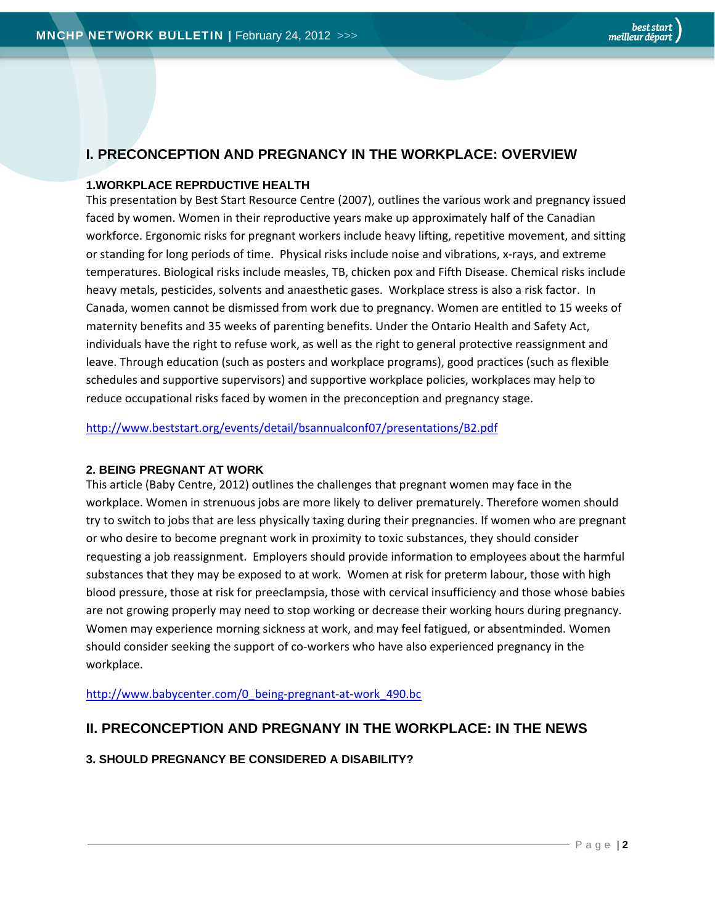# **I. PRECONCEPTION AND PREGNANCY IN THE WORKPLACE: OVERVIEW**

## **1.WORKPLACE REPRDUCTIVE HEALTH**

This presentation by Best Start Resource Centre (2007), outlines the various work and pregnancy issued faced by women. Women in their reproductive years make up approximately half of the Canadian workforce. Ergonomic risks for pregnant workers include heavy lifting, repetitive movement, and sitting or standing for long periods of time. Physical risks include noise and vibrations, x‐rays, and extreme temperatures. Biological risks include measles, TB, chicken pox and Fifth Disease. Chemical risks include heavy metals, pesticides, solvents and anaesthetic gases. Workplace stress is also a risk factor. In Canada, women cannot be dismissed from work due to pregnancy. Women are entitled to 15 weeks of maternity benefits and 35 weeks of parenting benefits. Under the Ontario Health and Safety Act, individuals have the right to refuse work, as well as the right to general protective reassignment and leave. Through education (such as posters and workplace programs), good practices (such as flexible schedules and supportive supervisors) and supportive workplace policies, workplaces may help to reduce occupational risks faced by women in the preconception and pregnancy stage.

http://www.beststart.org/events/detail/bsannualconf07/presentations/B2.pdf

## **2. BEING PREGNANT AT WORK**

This article (Baby Centre, 2012) outlines the challenges that pregnant women may face in the workplace. Women in strenuous jobs are more likely to deliver prematurely. Therefore women should try to switch to jobs that are less physically taxing during their pregnancies. If women who are pregnant or who desire to become pregnant work in proximity to toxic substances, they should consider requesting a job reassignment. Employers should provide information to employees about the harmful substances that they may be exposed to at work. Women at risk for preterm labour, those with high blood pressure, those at risk for preeclampsia, those with cervical insufficiency and those whose babies are not growing properly may need to stop working or decrease their working hours during pregnancy. Women may experience morning sickness at work, and may feel fatigued, or absentminded. Women should consider seeking the support of co-workers who have also experienced pregnancy in the workplace.

http://www.babycenter.com/0\_being-pregnant-at-work\_490.bc

# **II. PRECONCEPTION AND PREGNANY IN THE WORKPLACE: IN THE NEWS**

## **3. SHOULD PREGNANCY BE CONSIDERED A DISABILITY?**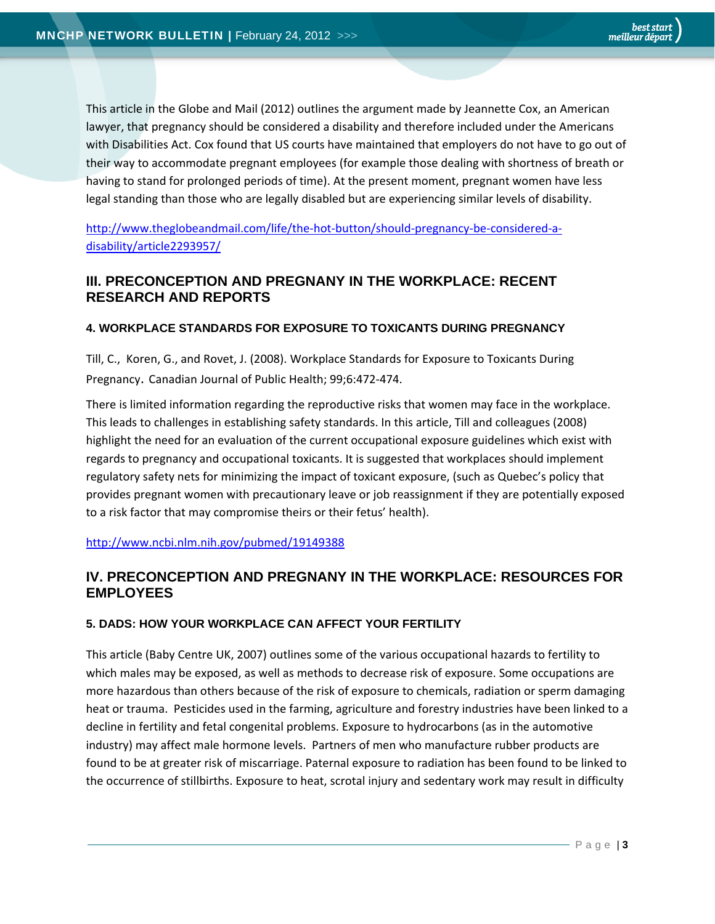This article in the Globe and Mail (2012) outlines the argument made by Jeannette Cox, an American lawyer, that pregnancy should be considered a disability and therefore included under the Americans with Disabilities Act. Cox found that US courts have maintained that employers do not have to go out of their way to accommodate pregnant employees (for example those dealing with shortness of breath or having to stand for prolonged periods of time). At the present moment, pregnant women have less legal standing than those who are legally disabled but are experiencing similar levels of disability.

http://www.theglobeandmail.com/life/the-hot-button/should-pregnancy-be-considered-adisability/article2293957/

# **III. PRECONCEPTION AND PREGNANY IN THE WORKPLACE: RECENT RESEARCH AND REPORTS**

## **4. WORKPLACE STANDARDS FOR EXPOSURE TO TOXICANTS DURING PREGNANCY**

Till, C., Koren, G., and Rovet, J. (2008). Workplace Standards for Exposure to Toxicants During Pregnancy. Canadian Journal of Public Health; 99;6:472‐474.

There is limited information regarding the reproductive risks that women may face in the workplace. This leads to challenges in establishing safety standards. In this article, Till and colleagues (2008) highlight the need for an evaluation of the current occupational exposure guidelines which exist with regards to pregnancy and occupational toxicants. It is suggested that workplaces should implement regulatory safety nets for minimizing the impact of toxicant exposure, (such as Quebec's policy that provides pregnant women with precautionary leave or job reassignment if they are potentially exposed to a risk factor that may compromise theirs or their fetus' health).

http://www.ncbi.nlm.nih.gov/pubmed/19149388

# **IV. PRECONCEPTION AND PREGNANY IN THE WORKPLACE: RESOURCES FOR EMPLOYEES**

## **5. DADS: HOW YOUR WORKPLACE CAN AFFECT YOUR FERTILITY**

This article (Baby Centre UK, 2007) outlines some of the various occupational hazards to fertility to which males may be exposed, as well as methods to decrease risk of exposure. Some occupations are more hazardous than others because of the risk of exposure to chemicals, radiation or sperm damaging heat or trauma. Pesticides used in the farming, agriculture and forestry industries have been linked to a decline in fertility and fetal congenital problems. Exposure to hydrocarbons (as in the automotive industry) may affect male hormone levels. Partners of men who manufacture rubber products are found to be at greater risk of miscarriage. Paternal exposure to radiation has been found to be linked to the occurrence of stillbirths. Exposure to heat, scrotal injury and sedentary work may result in difficulty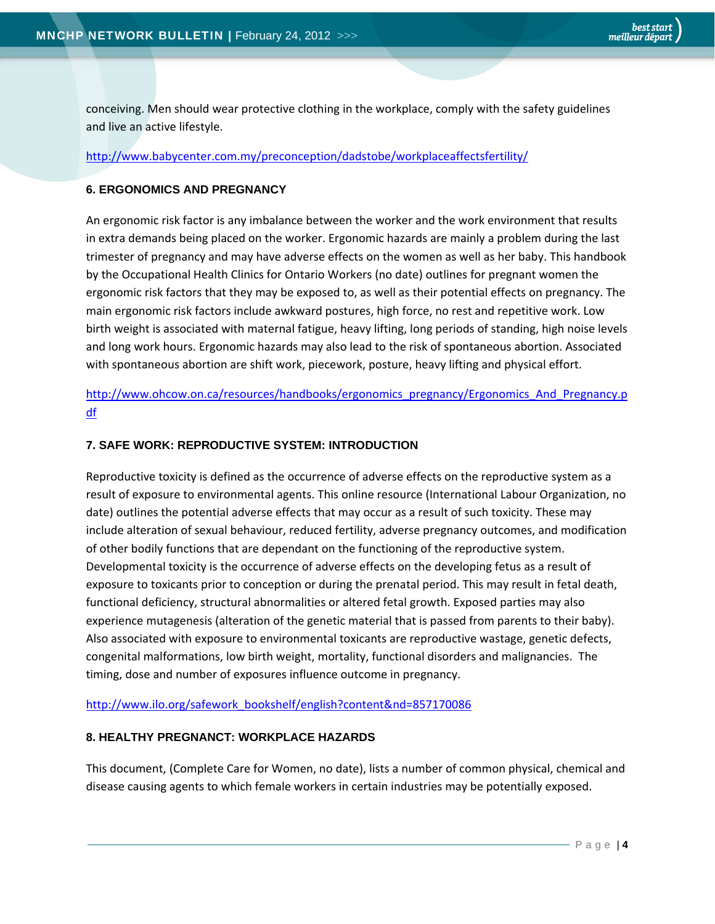conceiving. Men should wear protective clothing in the workplace, comply with the safety guidelines and live an active lifestyle.

#### http://www.babycenter.com.my/preconception/dadstobe/workplaceaffectsfertility/

## **6. ERGONOMICS AND PREGNANCY**

An ergonomic risk factor is any imbalance between the worker and the work environment that results in extra demands being placed on the worker. Ergonomic hazards are mainly a problem during the last trimester of pregnancy and may have adverse effects on the women as well as her baby. This handbook by the Occupational Health Clinics for Ontario Workers (no date) outlines for pregnant women the ergonomic risk factors that they may be exposed to, as well as their potential effects on pregnancy. The main ergonomic risk factors include awkward postures, high force, no rest and repetitive work. Low birth weight is associated with maternal fatigue, heavy lifting, long periods of standing, high noise levels and long work hours. Ergonomic hazards may also lead to the risk of spontaneous abortion. Associated with spontaneous abortion are shift work, piecework, posture, heavy lifting and physical effort.

http://www.ohcow.on.ca/resources/handbooks/ergonomics\_pregnancy/Ergonomics\_And\_Pregnancy.p df

## **7. SAFE WORK: REPRODUCTIVE SYSTEM: INTRODUCTION**

Reproductive toxicity is defined as the occurrence of adverse effects on the reproductive system as a result of exposure to environmental agents. This online resource (International Labour Organization, no date) outlines the potential adverse effects that may occur as a result of such toxicity. These may include alteration of sexual behaviour, reduced fertility, adverse pregnancy outcomes, and modification of other bodily functions that are dependant on the functioning of the reproductive system. Developmental toxicity is the occurrence of adverse effects on the developing fetus as a result of exposure to toxicants prior to conception or during the prenatal period. This may result in fetal death, functional deficiency, structural abnormalities or altered fetal growth. Exposed parties may also experience mutagenesis (alteration of the genetic material that is passed from parents to their baby). Also associated with exposure to environmental toxicants are reproductive wastage, genetic defects, congenital malformations, low birth weight, mortality, functional disorders and malignancies. The timing, dose and number of exposures influence outcome in pregnancy.

http://www.ilo.org/safework\_bookshelf/english?content&nd=857170086

#### **8. HEALTHY PREGNANCT: WORKPLACE HAZARDS**

This document, (Complete Care for Women, no date), lists a number of common physical, chemical and disease causing agents to which female workers in certain industries may be potentially exposed.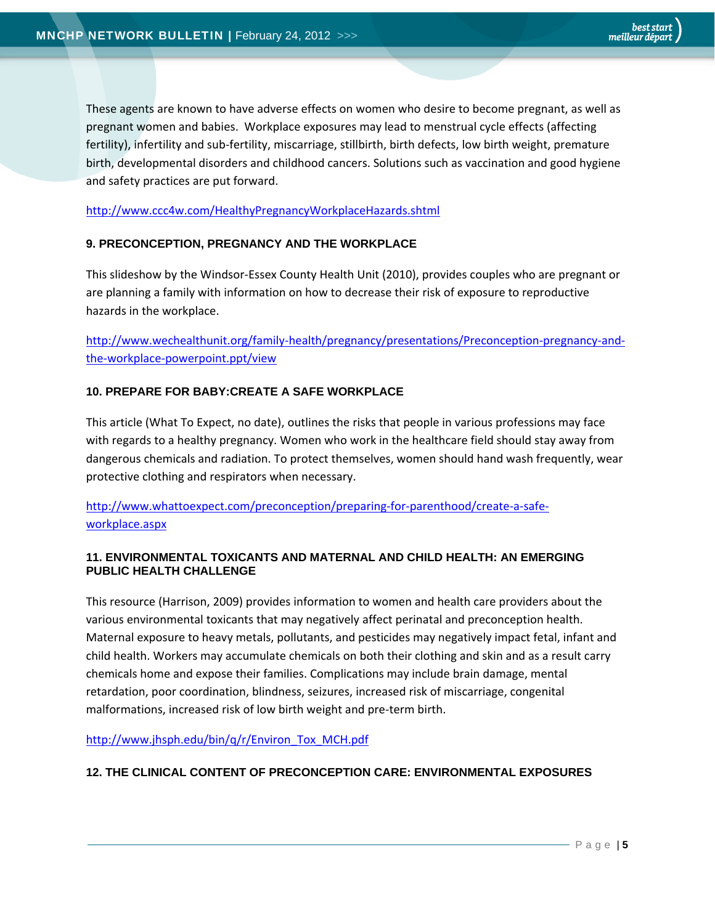These agents are known to have adverse effects on women who desire to become pregnant, as well as pregnant women and babies. Workplace exposures may lead to menstrual cycle effects (affecting fertility), infertility and sub‐fertility, miscarriage, stillbirth, birth defects, low birth weight, premature birth, developmental disorders and childhood cancers. Solutions such as vaccination and good hygiene and safety practices are put forward.

#### http://www.ccc4w.com/HealthyPregnancyWorkplaceHazards.shtml

#### **9. PRECONCEPTION, PREGNANCY AND THE WORKPLACE**

This slideshow by the Windsor‐Essex County Health Unit (2010), provides couples who are pregnant or are planning a family with information on how to decrease their risk of exposure to reproductive hazards in the workplace.

http://www.wechealthunit.org/family-health/pregnancy/presentations/Preconception-pregnancy-andthe‐workplace‐powerpoint.ppt/view

#### **10. PREPARE FOR BABY:CREATE A SAFE WORKPLACE**

This article (What To Expect, no date), outlines the risks that people in various professions may face with regards to a healthy pregnancy. Women who work in the healthcare field should stay away from dangerous chemicals and radiation. To protect themselves, women should hand wash frequently, wear protective clothing and respirators when necessary.

http://www.whattoexpect.com/preconception/preparing‐for‐parenthood/create‐a‐safe‐ workplace.aspx

#### **11. ENVIRONMENTAL TOXICANTS AND MATERNAL AND CHILD HEALTH: AN EMERGING PUBLIC HEALTH CHALLENGE**

This resource (Harrison, 2009) provides information to women and health care providers about the various environmental toxicants that may negatively affect perinatal and preconception health. Maternal exposure to heavy metals, pollutants, and pesticides may negatively impact fetal, infant and child health. Workers may accumulate chemicals on both their clothing and skin and as a result carry chemicals home and expose their families. Complications may include brain damage, mental retardation, poor coordination, blindness, seizures, increased risk of miscarriage, congenital malformations, increased risk of low birth weight and pre‐term birth.

http://www.jhsph.edu/bin/q/r/Environ\_Tox\_MCH.pdf

#### **12. THE CLINICAL CONTENT OF PRECONCEPTION CARE: ENVIRONMENTAL EXPOSURES**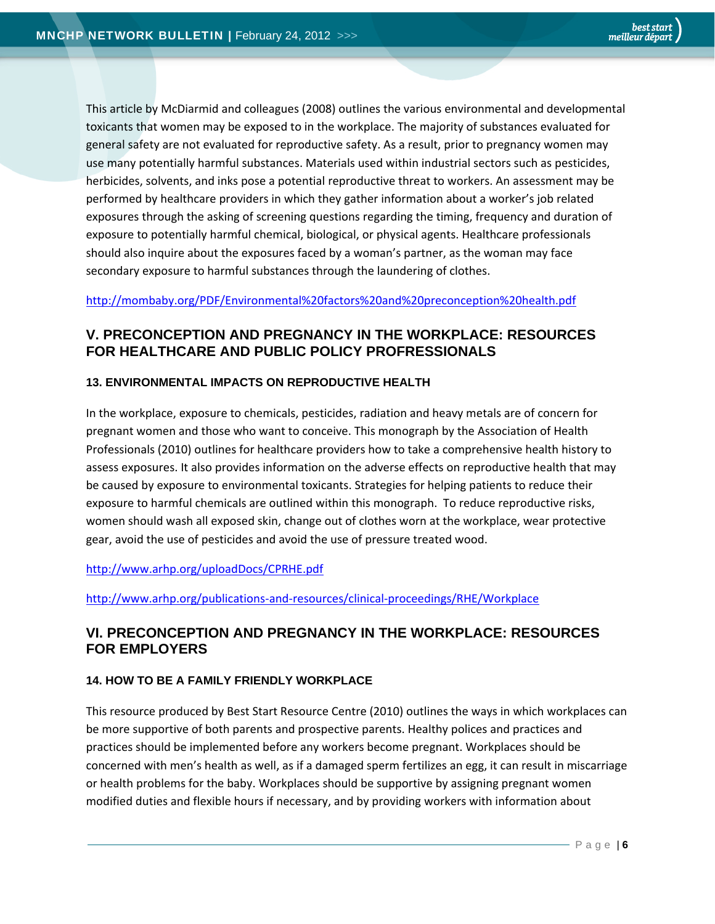This article by McDiarmid and colleagues (2008) outlines the various environmental and developmental toxicants that women may be exposed to in the workplace. The majority of substances evaluated for general safety are not evaluated for reproductive safety. As a result, prior to pregnancy women may use many potentially harmful substances. Materials used within industrial sectors such as pesticides, herbicides, solvents, and inks pose a potential reproductive threat to workers. An assessment may be performed by healthcare providers in which they gather information about a worker's job related exposures through the asking of screening questions regarding the timing, frequency and duration of exposure to potentially harmful chemical, biological, or physical agents. Healthcare professionals should also inquire about the exposures faced by a woman's partner, as the woman may face secondary exposure to harmful substances through the laundering of clothes.

## http://mombaby.org/PDF/Environmental%20factors%20and%20preconception%20health.pdf

# **V. PRECONCEPTION AND PREGNANCY IN THE WORKPLACE: RESOURCES FOR HEALTHCARE AND PUBLIC POLICY PROFRESSIONALS**

## **13. ENVIRONMENTAL IMPACTS ON REPRODUCTIVE HEALTH**

In the workplace, exposure to chemicals, pesticides, radiation and heavy metals are of concern for pregnant women and those who want to conceive. This monograph by the Association of Health Professionals (2010) outlines for healthcare providers how to take a comprehensive health history to assess exposures. It also provides information on the adverse effects on reproductive health that may be caused by exposure to environmental toxicants. Strategies for helping patients to reduce their exposure to harmful chemicals are outlined within this monograph. To reduce reproductive risks, women should wash all exposed skin, change out of clothes worn at the workplace, wear protective gear, avoid the use of pesticides and avoid the use of pressure treated wood.

## http://www.arhp.org/uploadDocs/CPRHE.pdf

http://www.arhp.org/publications‐and‐resources/clinical‐proceedings/RHE/Workplace

# **VI. PRECONCEPTION AND PREGNANCY IN THE WORKPLACE: RESOURCES FOR EMPLOYERS**

## **14. HOW TO BE A FAMILY FRIENDLY WORKPLACE**

This resource produced by Best Start Resource Centre (2010) outlines the ways in which workplaces can be more supportive of both parents and prospective parents. Healthy polices and practices and practices should be implemented before any workers become pregnant. Workplaces should be concerned with men's health as well, as if a damaged sperm fertilizes an egg, it can result in miscarriage or health problems for the baby. Workplaces should be supportive by assigning pregnant women modified duties and flexible hours if necessary, and by providing workers with information about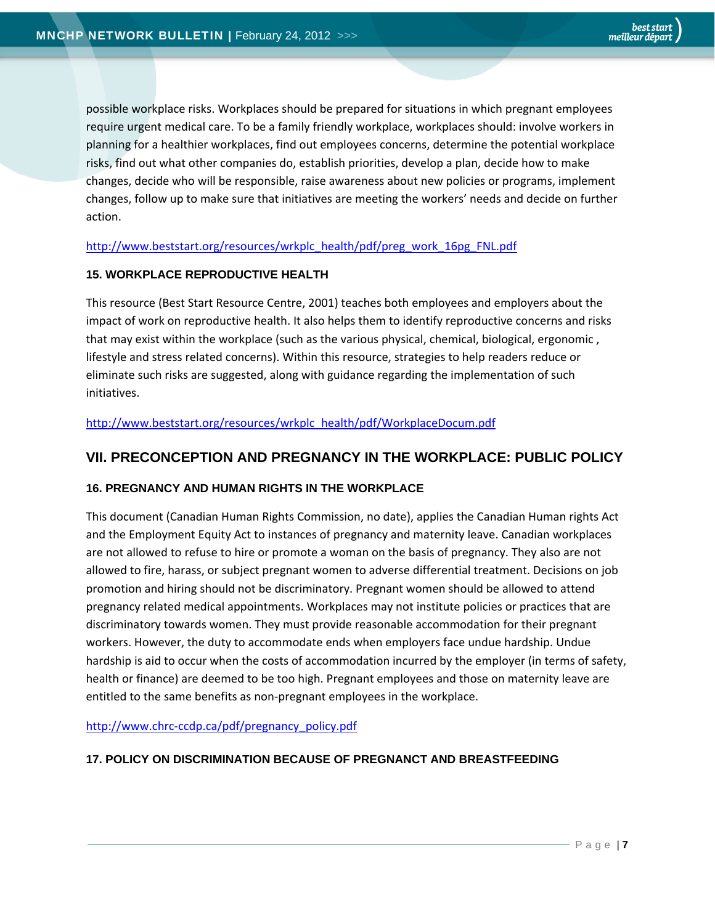possible workplace risks. Workplaces should be prepared for situations in which pregnant employees require urgent medical care. To be a family friendly workplace, workplaces should: involve workers in planning for a healthier workplaces, find out employees concerns, determine the potential workplace risks, find out what other companies do, establish priorities, develop a plan, decide how to make changes, decide who will be responsible, raise awareness about new policies or programs, implement changes, follow up to make sure that initiatives are meeting the workers' needs and decide on further action.

http://www.beststart.org/resources/wrkplc\_health/pdf/preg\_work\_16pg\_FNL.pdf

#### **15. WORKPLACE REPRODUCTIVE HEALTH**

This resource (Best Start Resource Centre, 2001) teaches both employees and employers about the impact of work on reproductive health. It also helps them to identify reproductive concerns and risks that may exist within the workplace (such as the various physical, chemical, biological, ergonomic , lifestyle and stress related concerns). Within this resource, strategies to help readers reduce or eliminate such risks are suggested, along with guidance regarding the implementation of such initiatives.

http://www.beststart.org/resources/wrkplc\_health/pdf/WorkplaceDocum.pdf

# **VII. PRECONCEPTION AND PREGNANCY IN THE WORKPLACE: PUBLIC POLICY**

## **16. PREGNANCY AND HUMAN RIGHTS IN THE WORKPLACE**

This document (Canadian Human Rights Commission, no date), applies the Canadian Human rights Act and the Employment Equity Act to instances of pregnancy and maternity leave. Canadian workplaces are not allowed to refuse to hire or promote a woman on the basis of pregnancy. They also are not allowed to fire, harass, or subject pregnant women to adverse differential treatment. Decisions on job promotion and hiring should not be discriminatory. Pregnant women should be allowed to attend pregnancy related medical appointments. Workplaces may not institute policies or practices that are discriminatory towards women. They must provide reasonable accommodation for their pregnant workers. However, the duty to accommodate ends when employers face undue hardship. Undue hardship is aid to occur when the costs of accommodation incurred by the employer (in terms of safety, health or finance) are deemed to be too high. Pregnant employees and those on maternity leave are entitled to the same benefits as non‐pregnant employees in the workplace.

http://www.chrc-ccdp.ca/pdf/pregnancy\_policy.pdf

#### **17. POLICY ON DISCRIMINATION BECAUSE OF PREGNANCT AND BREASTFEEDING**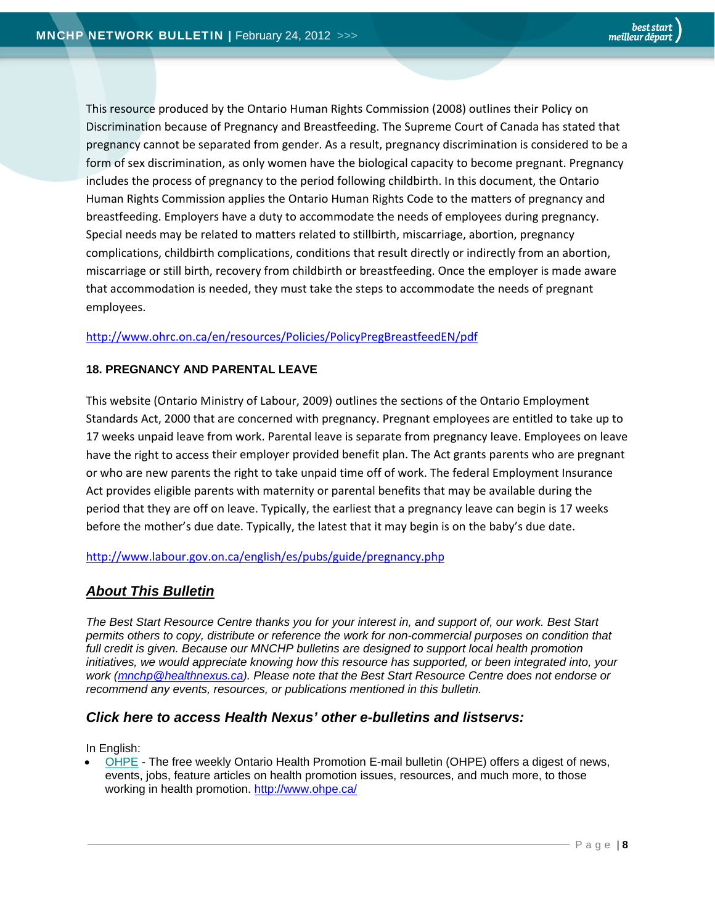This resource produced by the Ontario Human Rights Commission (2008) outlines their Policy on Discrimination because of Pregnancy and Breastfeeding. The Supreme Court of Canada has stated that pregnancy cannot be separated from gender. As a result, pregnancy discrimination is considered to be a form of sex discrimination, as only women have the biological capacity to become pregnant. Pregnancy includes the process of pregnancy to the period following childbirth. In this document, the Ontario Human Rights Commission applies the Ontario Human Rights Code to the matters of pregnancy and breastfeeding. Employers have a duty to accommodate the needs of employees during pregnancy. Special needs may be related to matters related to stillbirth, miscarriage, abortion, pregnancy complications, childbirth complications, conditions that result directly or indirectly from an abortion, miscarriage or still birth, recovery from childbirth or breastfeeding. Once the employer is made aware that accommodation is needed, they must take the steps to accommodate the needs of pregnant employees.

## http://www.ohrc.on.ca/en/resources/Policies/PolicyPregBreastfeedEN/pdf

## **18. PREGNANCY AND PARENTAL LEAVE**

This website (Ontario Ministry of Labour, 2009) outlines the sections of the Ontario Employment Standards Act, 2000 that are concerned with pregnancy. Pregnant employees are entitled to take up to 17 weeks unpaid leave from work. Parental leave is separate from pregnancy leave. Employees on leave have the right to access their employer provided benefit plan. The Act grants parents who are pregnant or who are new parents the right to take unpaid time off of work. The federal Employment Insurance Act provides eligible parents with maternity or parental benefits that may be available during the period that they are off on leave. Typically, the earliest that a pregnancy leave can begin is 17 weeks before the mother's due date. Typically, the latest that it may begin is on the baby's due date.

#### http://www.labour.gov.on.ca/english/es/pubs/guide/pregnancy.php

# *About This Bulletin*

*The Best Start Resource Centre thanks you for your interest in, and support of, our work. Best Start permits others to copy, distribute or reference the work for non-commercial purposes on condition that*  full credit is given. Because our MNCHP bulletins are designed to support local health promotion *initiatives, we would appreciate knowing how this resource has supported, or been integrated into, your work (mnchp@healthnexus.ca). Please note that the Best Start Resource Centre does not endorse or recommend any events, resources, or publications mentioned in this bulletin.* 

# *Click here to access Health Nexus' other e-bulletins and listservs:*

In English:

OHPE - The free weekly Ontario Health Promotion E-mail bulletin (OHPE) offers a digest of news, events, jobs, feature articles on health promotion issues, resources, and much more, to those working in health promotion. http://www.ohpe.ca/